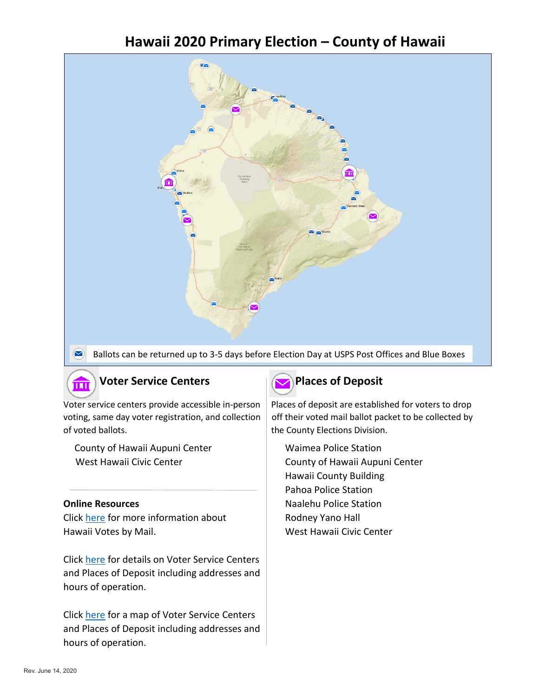# **Hawaii 2020 Primary Election – County of Hawaii**



Ballots can be returned up to 3-5 days before Election Day at USPS Post Offices and Blue Boxes

## **Voter Service Centers Places** of Deposit

of voted ballots. The County Elections Division.

County of Hawaii Aupuni Center Maimea Police Station West Hawaii Civic Center County of Hawaii Aupuni Center

而

Click [here](https://elections.hawaii.gov/hawaii-votes-by-mail/) for more information about Rodney Yano Hall Hawaii Votes by Mail. Manual Muslim Muslim West Hawaii Civic Center

Click [here](https://elections.hawaii.gov/voter-service-centers-and-places-of-deposit/) for details on Voter Service Centers and Places of Deposit including addresses and hours of operation.

Click [here](https://histategis.maps.arcgis.com/apps/MapSeries/index.html?appid=40a88743b85b4fbfb8cf6128bacfedcf) for a map of Voter Service Centers and Places of Deposit including addresses and hours of operation.



Voter service centers provide accessible in-person | Places of deposit are established for voters to drop voting, same day voter registration, and collection  $\mid$  off their voted mail ballot packet to be collected by

Hawaii County Building Pahoa Police Station **Online Resources** Naalehu Police Station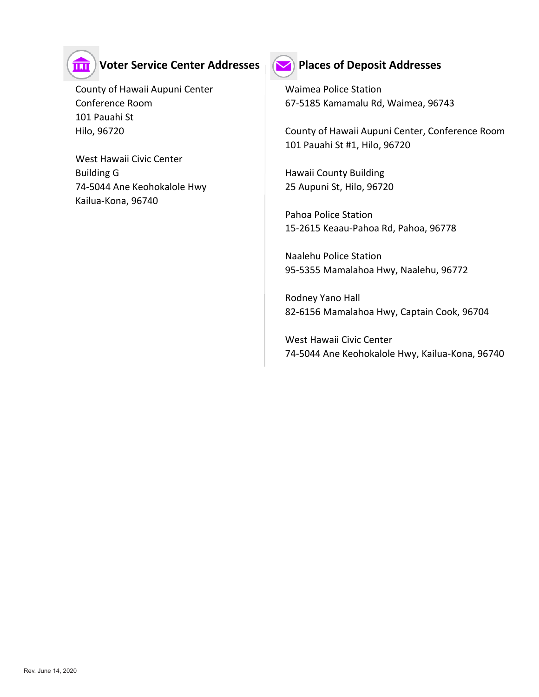

### **THE Voter Service Center Addresses Post Places of Deposit Addresses**

County of Hawaii Aupuni Center **Waimea Police Station** 101 Pauahi St

 West Hawaii Civic Center Building G **Hawaii County Building**  74-5044 Ane Keohokalole Hwy 25 Aupuni St, Hilo, 96720 Kailua-Kona, 96740



Conference Room 67-5185 Kamamalu Rd, Waimea, 96743

 Hilo, 96720 County of Hawaii Aupuni Center, Conference Room 101 Pauahi St #1, Hilo, 96720

 Pahoa Police Station 15-2615 Keaau-Pahoa Rd, Pahoa, 96778

Naalehu Police Station 95-5355 Mamalahoa Hwy, Naalehu, 96772

Rodney Yano Hall 82-6156 Mamalahoa Hwy, Captain Cook, 96704

West Hawaii Civic Center 74-5044 Ane Keohokalole Hwy, Kailua-Kona, 96740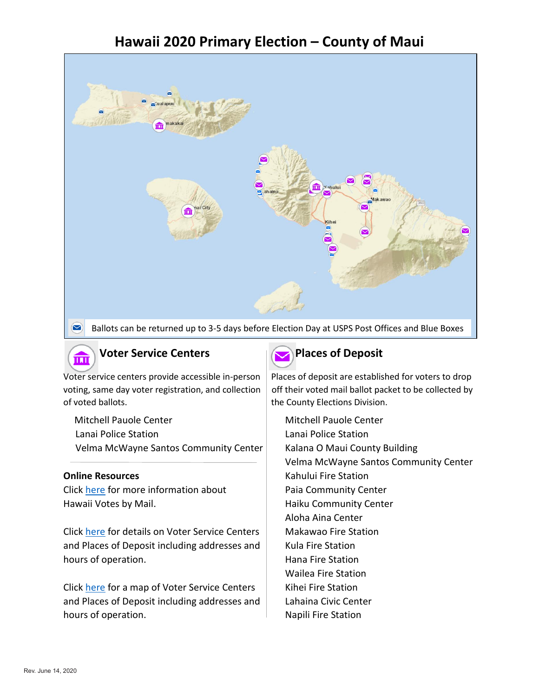# **Hawaii 2020 Primary Election – County of Maui**



Ballots can be returned up to 3-5 days before Election Day at USPS Post Offices and Blue Boxes



### **Voter Service Centers Places** of Deposit

of voted ballots. The County Elections Division.

Mitchell Pauole Center Mitchell Pauole Center Lanai Police Station Lanai Police Station Velma McWayne Santos Community Center | Kalana O Maui County Building

Click [here](https://elections.hawaii.gov/hawaii-votes-by-mail/) for more information about Paia Community Center Hawaii Votes by Mail. **Haiku Community Center** 

Click [here](https://elections.hawaii.gov/voter-service-centers-and-places-of-deposit/) for details on Voter Service Centers | Makawao Fire Station and Places of Deposit including addresses and  $\parallel$  Kula Fire Station hours of operation. The station of the Station control of the Station control of the Station control of the Station

Click [here](https://histategis.maps.arcgis.com/apps/MapSeries/index.html?appid=40a88743b85b4fbfb8cf6128bacfedcf) for a map of Voter Service Centers | Kihei Fire Station and Places of Deposit including addresses and  $\parallel$  Lahaina Civic Center hours of operation. The station of the Station is a set of the Station of the Station of the Station

Voter service centers provide accessible in-person | Places of deposit are established for voters to drop voting, same day voter registration, and collection  $\vert$  off their voted mail ballot packet to be collected by

Velma McWayne Santos Community Center **Online Resources Conserversity Kahului Fire Station** Aloha Aina Center Wailea Fire Station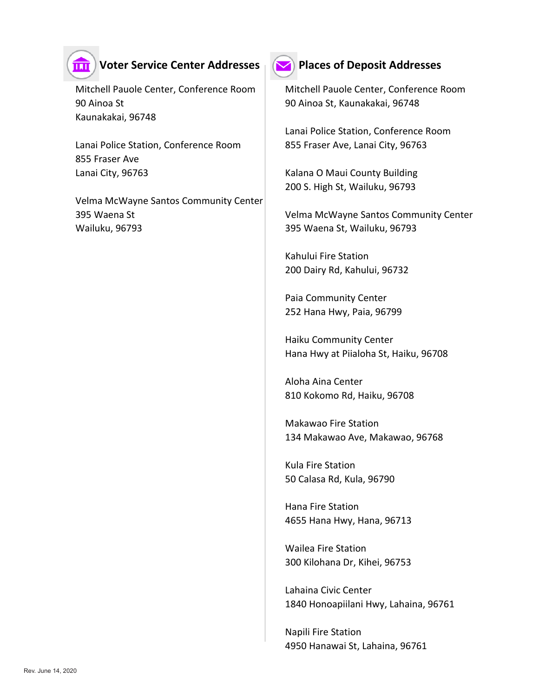

### **THE Voter Service Center Addresses Post Places of Deposit Addresses**

 90 Ainoa St 90 Ainoa St, Kaunakakai, 96748 Kaunakakai, 96748

Lanai Police Station, Conference Room | 855 Fraser Ave, Lanai City, 96763 855 Fraser Ave Lanai City, 96763 **Kalana O Maui County Building** 

 Velma McWayne Santos Community Center 395 Waena St Velma McWayne Santos Community Center Wailuku, 96793 395 Waena St, Wailuku, 96793



Mitchell Pauole Center, Conference Room | Mitchell Pauole Center, Conference Room

Lanai Police Station, Conference Room

200 S. High St, Wailuku, 96793

Kahului Fire Station 200 Dairy Rd, Kahului, 96732

Paia Community Center 252 Hana Hwy, Paia, 96799

Haiku Community Center Hana Hwy at Piialoha St, Haiku, 96708

Aloha Aina Center 810 Kokomo Rd, Haiku, 96708

Makawao Fire Station 134 Makawao Ave, Makawao, 96768

Kula Fire Station 50 Calasa Rd, Kula, 96790

Hana Fire Station 4655 Hana Hwy, Hana, 96713

Wailea Fire Station 300 Kilohana Dr, Kihei, 96753

Lahaina Civic Center 1840 Honoapiilani Hwy, Lahaina, 96761

Napili Fire Station 4950 Hanawai St, Lahaina, 96761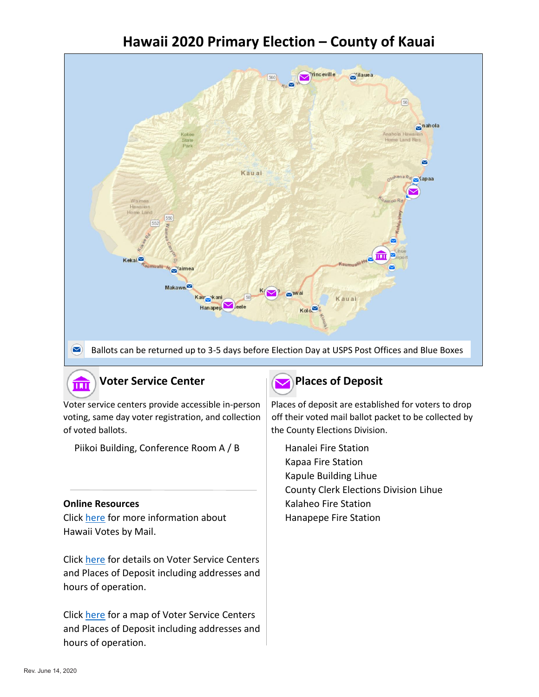# **Hawaii 2020 Primary Election – County of Kauai**



of voted ballots. The County Elections Division.

Piikoi Building, Conference Room A / B Hanalei Fire Station

Click [here](https://elections.hawaii.gov/hawaii-votes-by-mail/) for more information about Hanapepe Fire Station Hawaii Votes by Mail.

Click [here](https://elections.hawaii.gov/voter-service-centers-and-places-of-deposit/) for details on Voter Service Centers and Places of Deposit including addresses and hours of operation.

Click [here](https://histategis.maps.arcgis.com/apps/MapSeries/index.html?appid=40a88743b85b4fbfb8cf6128bacfedcf) for a map of Voter Service Centers and Places of Deposit including addresses and hours of operation.



Voter service centers provide accessible in-person | Places of deposit are established for voters to drop voting, same day voter registration, and collection  $\vert$  off their voted mail ballot packet to be collected by

 Kapaa Fire Station Kapule Building Lihue County Clerk Elections Division Lihue **Online Resources Constanting Contract Constanting Condition** Kalaheo Fire Station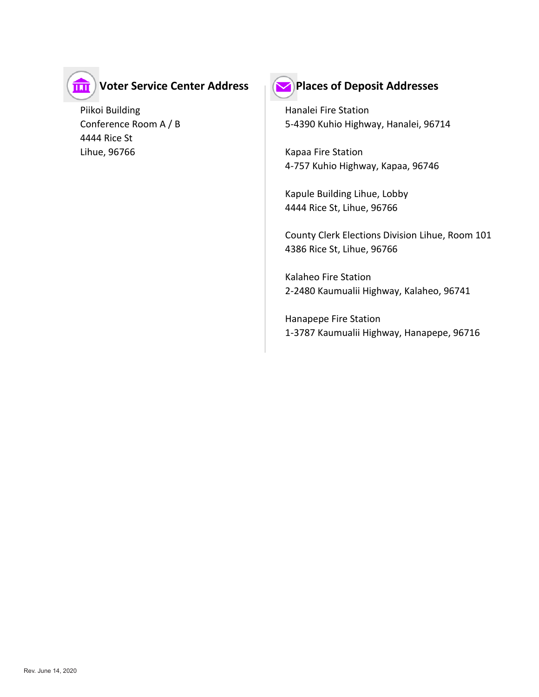

# **Voter Service Center Address Places of Deposit Addresses**

Piikoi Building **Hanalei Fire Station**  4444 Rice St Lihue, 96766 Kapaa Fire Station



Conference Room A / B 5-4390 Kuhio Highway, Hanalei, 96714

4-757 Kuhio Highway, Kapaa, 96746

Kapule Building Lihue, Lobby 4444 Rice St, Lihue, 96766

County Clerk Elections Division Lihue, Room 101 4386 Rice St, Lihue, 96766

Kalaheo Fire Station 2-2480 Kaumualii Highway, Kalaheo, 96741

Hanapepe Fire Station 1-3787 Kaumualii Highway, Hanapepe, 96716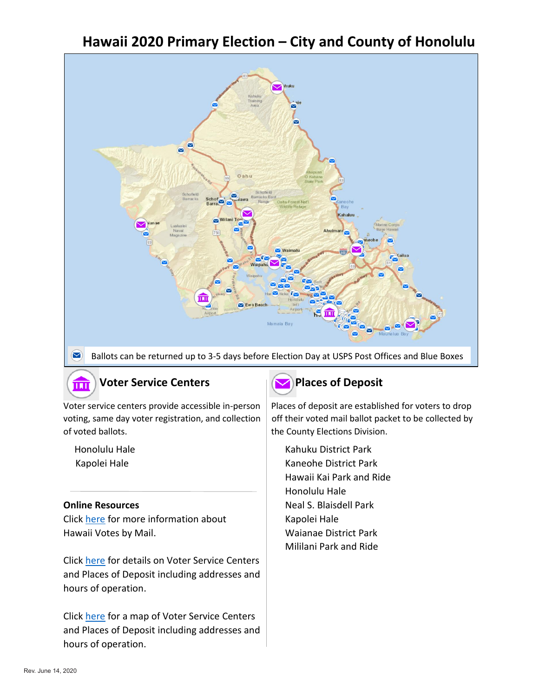# **Hawaii 2020 Primary Election – City and County of Honolulu**



 $\bm \Xi$ Ballots can be returned up to 3-5 days before Election Day at USPS Post Offices and Blue Boxes

### **Voter Service Centers Places** of Deposit

of voted ballots. The County Elections Division.

Click [here](https://elections.hawaii.gov/hawaii-votes-by-mail/) for more information about Kapolei Hale Hawaii Votes by Mail. Notes and Mail and Maianae District Park

Click [here](https://elections.hawaii.gov/voter-service-centers-and-places-of-deposit/) for details on Voter Service Centers and Places of Deposit including addresses and hours of operation.

Click [here](https://histategis.maps.arcgis.com/apps/MapSeries/index.html?appid=40a88743b85b4fbfb8cf6128bacfedcf) for a map of Voter Service Centers and Places of Deposit including addresses and hours of operation.



Voter service centers provide accessible in-person | Places of deposit are established for voters to drop voting, same day voter registration, and collection  $\vert$  off their voted mail ballot packet to be collected by

Honolulu Hale **Kahuku District Park** Kapolei Hale **Kaneohe District Park**  Hawaii Kai Park and Ride Honolulu Hale **Online Resources** Neal S. Blaisdell Park Mililani Park and Ride